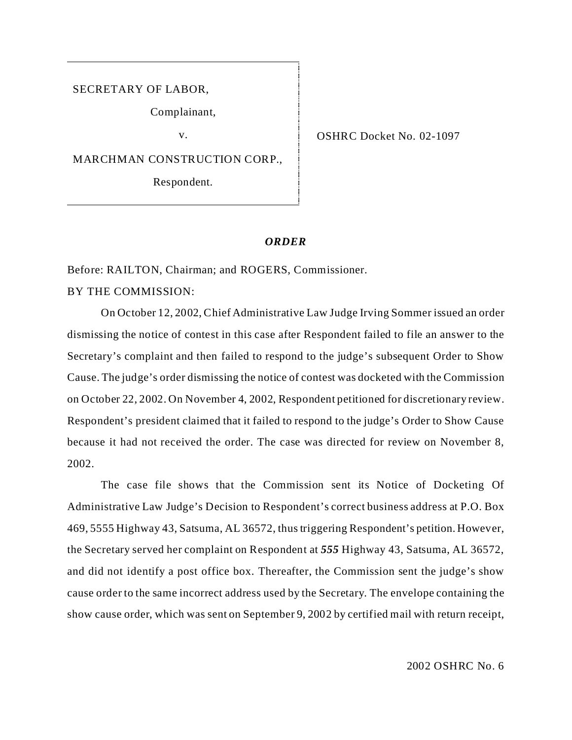SECRETARY OF LABOR,

Complainant,

MARCHMAN CONSTRUCTION CORP.,

Respondent.

v. CSHRC Docket No. 02-1097

## *ORDER*

Before: RAILTON, Chairman; and ROGERS, Commissioner.

BY THE COMMISSION:

On October 12, 2002, Chief Administrative Law Judge Irving Sommer issued an order dismissing the notice of contest in this case after Respondent failed to file an answer to the Secretary's complaint and then failed to respond to the judge's subsequent Order to Show Cause. The judge's order dismissing the notice of contest was docketed with the Commission on October 22, 2002. On November 4, 2002, Respondent petitioned for discretionary review. Respondent's president claimed that it failed to respond to the judge's Order to Show Cause because it had not received the order. The case was directed for review on November 8, 2002.

The case file shows that the Commission sent its Notice of Docketing Of Administrative Law Judge's Decision to Respondent's correct business address at P.O. Box 469, 5555 Highway 43, Satsuma, AL 36572, thus triggering Respondent's petition. However, the Secretary served her complaint on Respondent at *555* Highway 43, Satsuma, AL 36572, and did not identify a post office box. Thereafter, the Commission sent the judge's show cause order to the same incorrect address used by the Secretary. The envelope containing the show cause order, which was sent on September 9, 2002 by certified mail with return receipt,

2002 OSHRC No. 6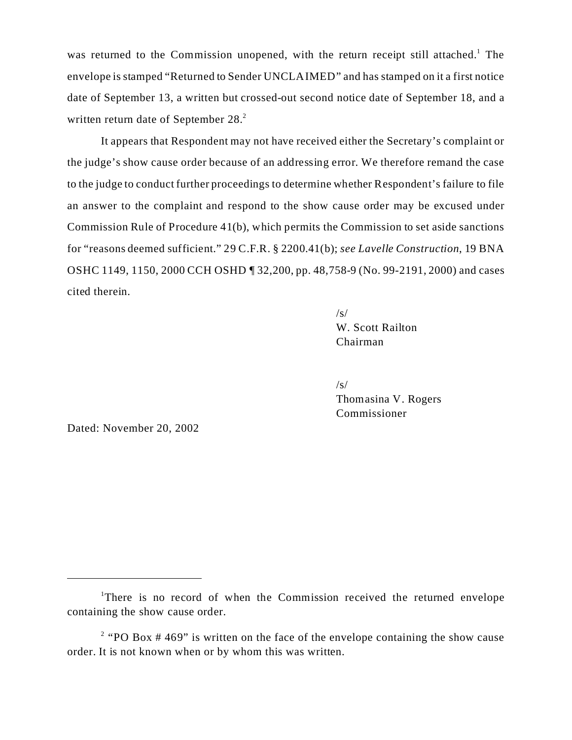was returned to the Commission unopened, with the return receipt still attached.<sup>1</sup> The envelope is stamped "Returned to Sender UNCLAIMED" and has stamped on it a first notice date of September 13, a written but crossed-out second notice date of September 18, and a written return date of September 28.<sup>2</sup>

It appears that Respondent may not have received either the Secretary's complaint or the judge's show cause order because of an addressing error. We therefore remand the case to the judge to conduct further proceedings to determine whether Respondent's failure to file an answer to the complaint and respond to the show cause order may be excused under Commission Rule of Procedure 41(b), which permits the Commission to set aside sanctions for "reasons deemed sufficient." 29 C.F.R. § 2200.41(b); *see Lavelle Construction*, 19 BNA OSHC 1149, 1150, 2000 CCH OSHD ¶ 32,200, pp. 48,758-9 (No. 99-2191, 2000) and cases cited therein.

> /s/ W. Scott Railton Chairman

/s/ Thomasina V. Rogers Commissioner

Dated: November 20, 2002

<sup>&</sup>lt;sup>1</sup>There is no record of when the Commission received the returned envelope containing the show cause order.

<sup>&</sup>lt;sup>2</sup> "PO Box  $#469$ " is written on the face of the envelope containing the show cause order. It is not known when or by whom this was written.